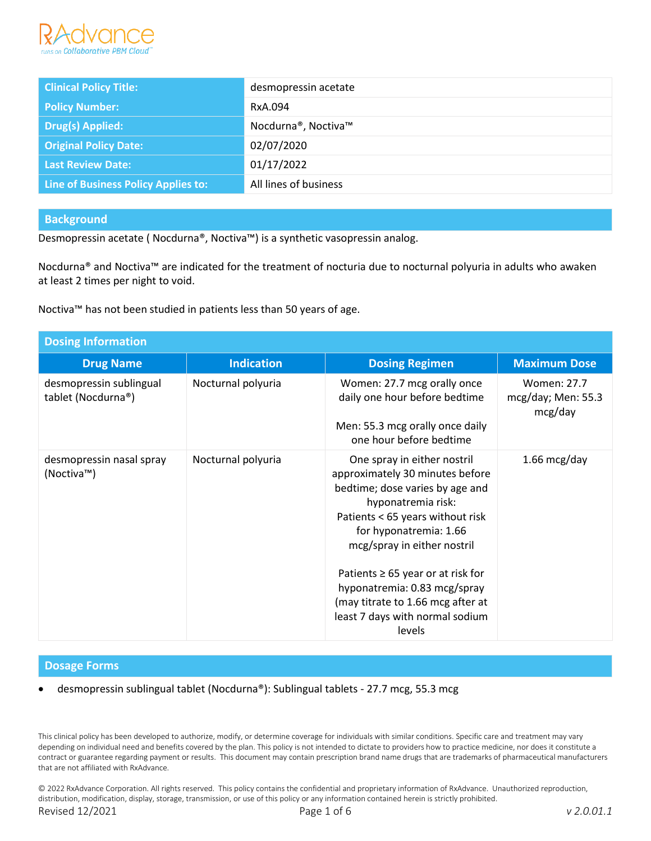

| <b>Clinical Policy Title:</b>       | desmopressin acetate  |
|-------------------------------------|-----------------------|
| <b>Policy Number:</b>               | RxA.094               |
| <b>Drug(s) Applied:</b>             | Nocdurna®, Noctiva™   |
| <b>Original Policy Date:</b>        | 02/07/2020            |
| Last Review Date:                   | 01/17/2022            |
| Line of Business Policy Applies to: | All lines of business |

# **Background**

Desmopressin acetate ( Nocdurna®, Noctiva™) is a synthetic vasopressin analog.

Nocdurna® and Noctiva™ are indicated for the treatment of nocturia due to nocturnal polyuria in adults who awaken at least 2 times per night to void.

Noctiva™ has not been studied in patients less than 50 years of age.

| <b>Dosing Information</b>                     |                    |                                                                                                                                                                                                                                                                                                                                                                                  |                                                |
|-----------------------------------------------|--------------------|----------------------------------------------------------------------------------------------------------------------------------------------------------------------------------------------------------------------------------------------------------------------------------------------------------------------------------------------------------------------------------|------------------------------------------------|
| <b>Drug Name</b>                              | <b>Indication</b>  | <b>Dosing Regimen</b>                                                                                                                                                                                                                                                                                                                                                            | <b>Maximum Dose</b>                            |
| desmopressin sublingual<br>tablet (Nocdurna®) | Nocturnal polyuria | Women: 27.7 mcg orally once<br>daily one hour before bedtime<br>Men: 55.3 mcg orally once daily<br>one hour before bedtime                                                                                                                                                                                                                                                       | Women: 27.7<br>mcg/day; Men: $55.3$<br>mcg/day |
| desmopressin nasal spray<br>(Noctiva™)        | Nocturnal polyuria | One spray in either nostril<br>approximately 30 minutes before<br>bedtime; dose varies by age and<br>hyponatremia risk:<br>Patients < 65 years without risk<br>for hyponatremia: 1.66<br>mcg/spray in either nostril<br>Patients $\geq 65$ year or at risk for<br>hyponatremia: 0.83 mcg/spray<br>(may titrate to 1.66 mcg after at<br>least 7 days with normal sodium<br>levels | $1.66$ mcg/day                                 |

#### **Dosage Forms**

• desmopressin sublingual tablet (Nocdurna®): Sublingual tablets - 27.7 mcg, 55.3 mcg

This clinical policy has been developed to authorize, modify, or determine coverage for individuals with similar conditions. Specific care and treatment may vary depending on individual need and benefits covered by the plan. This policy is not intended to dictate to providers how to practice medicine, nor does it constitute a contract or guarantee regarding payment or results. This document may contain prescription brand name drugs that are trademarks of pharmaceutical manufacturers that are not affiliated with RxAdvance.

© 2022 RxAdvance Corporation. All rights reserved. This policy contains the confidential and proprietary information of RxAdvance. Unauthorized reproduction, distribution, modification, display, storage, transmission, or use of this policy or any information contained herein is strictly prohibited. Revised 12/2021 Page 1 of 6 *v 2.0.01.1*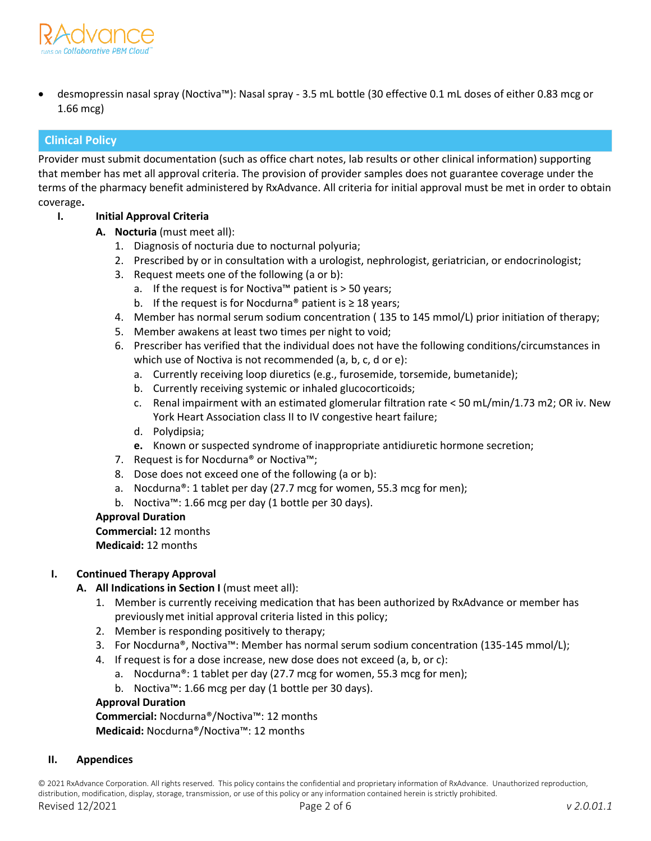

• desmopressin nasal spray (Noctiva™): Nasal spray - 3.5 mL bottle (30 effective 0.1 mL doses of either 0.83 mcg or 1.66 mcg)

# **Clinical Policy**

Provider must submit documentation (such as office chart notes, lab results or other clinical information) supporting that member has met all approval criteria. The provision of provider samples does not guarantee coverage under the terms of the pharmacy benefit administered by RxAdvance. All criteria for initial approval must be met in order to obtain coverage**.**

# **I. Initial Approval Criteria**

- **A. Nocturia** (must meet all):
	- 1. Diagnosis of nocturia due to nocturnal polyuria;
	- 2. Prescribed by or in consultation with a urologist, nephrologist, geriatrician, or endocrinologist;
	- 3. Request meets one of the following (a or b):
		- a. If the request is for Noctiva™ patient is > 50 years;
		- b. If the request is for Nocdurna<sup>®</sup> patient is  $\geq 18$  years;
	- 4. Member has normal serum sodium concentration ( 135 to 145 mmol/L) prior initiation of therapy;
	- 5. Member awakens at least two times per night to void;
	- 6. Prescriber has verified that the individual does not have the following conditions/circumstances in which use of Noctiva is not recommended (a, b, c, d or e):
		- a. Currently receiving loop diuretics (e.g., furosemide, torsemide, bumetanide);
		- b. Currently receiving systemic or inhaled glucocorticoids;
		- c. Renal impairment with an estimated glomerular filtration rate < 50 mL/min/1.73 m2; OR iv. New York Heart Association class II to IV congestive heart failure;
		- d. Polydipsia;
		- **e.** Known or suspected syndrome of inappropriate antidiuretic hormone secretion;
	- 7. Request is for Nocdurna® or Noctiva™;
	- 8. Dose does not exceed one of the following (a or b):
	- a. Nocdurna®: 1 tablet per day (27.7 mcg for women, 55.3 mcg for men);
	- b. Noctiva™: 1.66 mcg per day (1 bottle per 30 days).

#### **Approval Duration**

**Commercial:** 12 months **Medicaid:** 12 months

#### **I. Continued Therapy Approval**

- **A.** All Indications in Section I (must meet all):
	- 1. Member is currently receiving medication that has been authorized by RxAdvance or member has previouslymet initial approval criteria listed in this policy;
	- 2. Member is responding positively to therapy;
	- 3. For Nocdurna®, Noctiva™: Member has normal serum sodium concentration (135-145 mmol/L);
	- 4. If request is for a dose increase, new dose does not exceed (a, b, or c):
		- a. Nocdurna®: 1 tablet per day (27.7 mcg for women, 55.3 mcg for men);
		- b. Noctiva™: 1.66 mcg per day (1 bottle per 30 days).

## **Approval Duration**

**Commercial:** Nocdurna®/Noctiva™: 12 months **Medicaid:** Nocdurna®/Noctiva™: 12 months

#### **II. Appendices**

© 2021 RxAdvance Corporation. All rights reserved. This policy contains the confidential and proprietary information of RxAdvance. Unauthorized reproduction, distribution, modification, display, storage, transmission, or use of this policy or any information contained herein is strictly prohibited.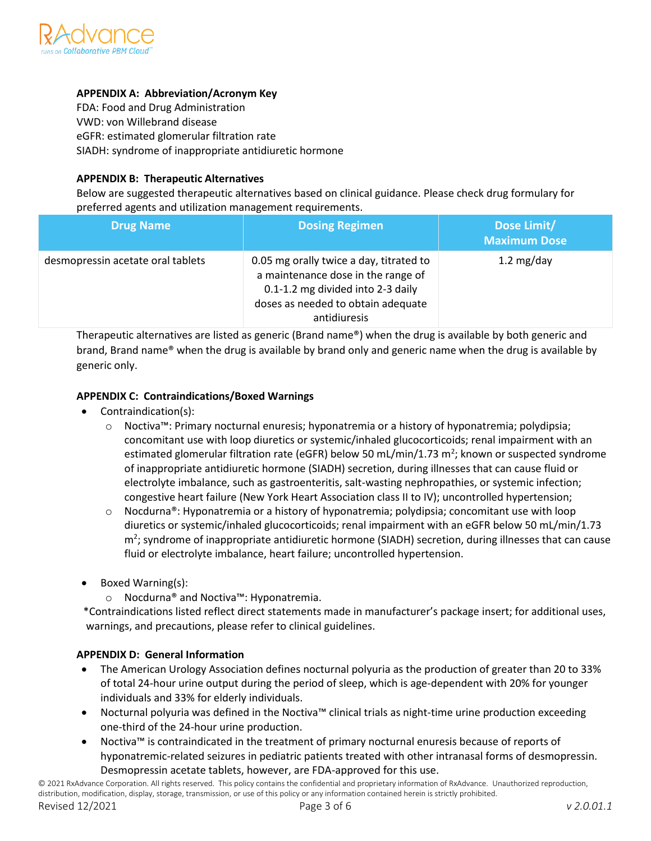

# **APPENDIX A: Abbreviation/Acronym Key**

FDA: Food and Drug Administration VWD: von Willebrand disease eGFR: estimated glomerular filtration rate SIADH: syndrome of inappropriate antidiuretic hormone

# **APPENDIX B: Therapeutic Alternatives**

Below are suggested therapeutic alternatives based on clinical guidance. Please check drug formulary for preferred agents and utilization management requirements.

| <b>Drug Name</b>                  | <b>Dosing Regimen</b>                                                                                                                                                    | Dose Limit/<br><b>Maximum Dose</b> |
|-----------------------------------|--------------------------------------------------------------------------------------------------------------------------------------------------------------------------|------------------------------------|
| desmopressin acetate oral tablets | 0.05 mg orally twice a day, titrated to<br>a maintenance dose in the range of<br>0.1-1.2 mg divided into 2-3 daily<br>doses as needed to obtain adequate<br>antidiuresis | 1.2 $mg/day$                       |

Therapeutic alternatives are listed as generic (Brand name®) when the drug is available by both generic and brand, Brand name® when the drug is available by brand only and generic name when the drug is available by generic only.

## **APPENDIX C: Contraindications/Boxed Warnings**

- Contraindication(s):
	- o Noctiva™: Primary nocturnal enuresis; hyponatremia or a history of hyponatremia; polydipsia; concomitant use with loop diuretics or systemic/inhaled glucocorticoids; renal impairment with an estimated glomerular filtration rate (eGFR) below 50 mL/min/1.73 m<sup>2</sup>; known or suspected syndrome of inappropriate antidiuretic hormone (SIADH) secretion, during illnesses that can cause fluid or electrolyte imbalance, such as gastroenteritis, salt-wasting nephropathies, or systemic infection; congestive heart failure (New York Heart Association class II to IV); uncontrolled hypertension;
	- $\circ$  Nocdurna®: Hyponatremia or a history of hyponatremia; polydipsia; concomitant use with loop diuretics or systemic/inhaled glucocorticoids; renal impairment with an eGFR below 50 mL/min/1.73 m<sup>2</sup>; syndrome of inappropriate antidiuretic hormone (SIADH) secretion, during illnesses that can cause fluid or electrolyte imbalance, heart failure; uncontrolled hypertension.
- Boxed Warning(s):
	- o Nocdurna® and Noctiva™: Hyponatremia.

 \*Contraindications listed reflect direct statements made in manufacturer's package insert; for additional uses, warnings, and precautions, please refer to clinical guidelines.

# **APPENDIX D: General Information**

- The American Urology Association defines nocturnal polyuria as the production of greater than 20 to 33% of total 24-hour urine output during the period of sleep, which is age-dependent with 20% for younger individuals and 33% for elderly individuals.
- Nocturnal polyuria was defined in the Noctiva™ clinical trials as night-time urine production exceeding one-third of the 24-hour urine production.
- Noctiva™ is contraindicated in the treatment of primary nocturnal enuresis because of reports of hyponatremic-related seizures in pediatric patients treated with other intranasal forms of desmopressin. Desmopressin acetate tablets, however, are FDA-approved for this use.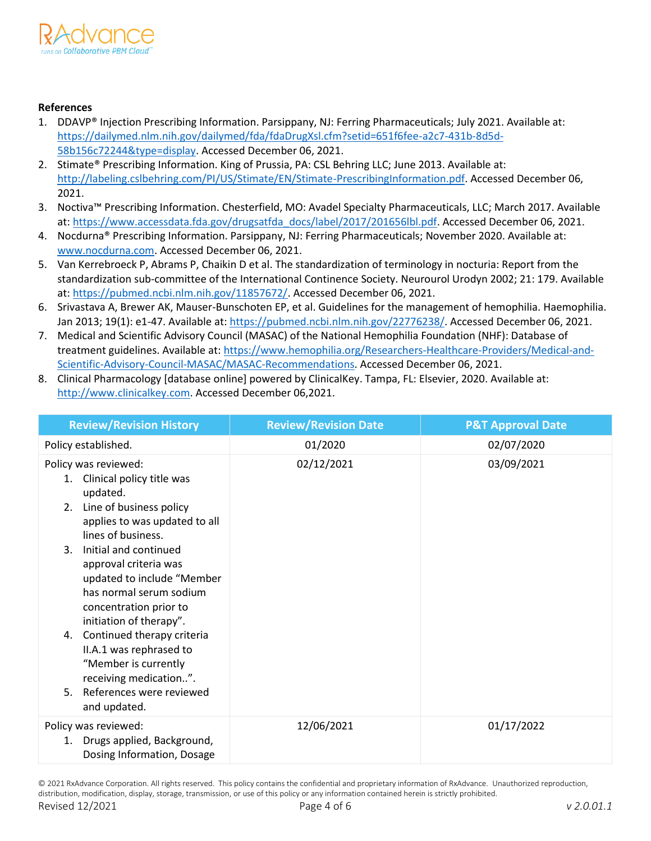

# **References**

- 1. DDAVP® Injection Prescribing Information. Parsippany, NJ: Ferring Pharmaceuticals; July 2021. Available at: https://dailymed.nlm.nih.gov/dailymed/fda/fdaDrugXsl.cfm?setid=651f6fee-a2c7-431b-8d5d-58b156c72244&type=displa[y.](https://dailymed.nlm.nih.gov/dailymed/drugInfo.cfm?setid=651f6fee-a2c7-431b-8d5d-58b156c72244) Accessed December 06, 2021.
- 2. Stimate® Prescribing Information. King of Prussia, PA: CSL Behring LLC; June 2013. Available at: [http://labeling.cslbehring.com/PI/US/Stimate/EN/Stimate-PrescribingInformation.pdf.](http://labeling.cslbehring.com/PI/US/Stimate/EN/Stimate-Prescribing-Information.pdf) Accessed December 06, 2021.
- 3. Noctiva™ Prescribing Information. Chesterfield, MO: Avadel Specialty Pharmaceuticals, LLC; March 2017. Available at: https://www.accessdata.fda.gov/drugsatfda\_docs/label/2017/201656lbl.pd[f.](http://www.noctiva.com/) Accessed December 06, 2021.
- 4. Nocdurna® Prescribing Information. Parsippany, NJ: Ferring Pharmaceuticals; November 2020. Available at: [www.nocdurna.com.](http://www.nocdurna.com/) Accessed December 06, 2021.
- 5. Van Kerrebroeck P, Abrams P, Chaikin D et al. The standardization of terminology in nocturia: Report from the standardization sub-committee of the International Continence Society. Neurourol Urodyn 2002; 21: 179. Available at: [https://pubmed.ncbi.nlm.nih.gov/11857672/.](https://pubmed.ncbi.nlm.nih.gov/11857672/) Accessed December 06, 2021.
- 6. Srivastava A, Brewer AK, Mauser-Bunschoten EP, et al. Guidelines for the management of hemophilia. Haemophilia. Jan 2013; 19(1): e1-47. Available at: [https://pubmed.ncbi.nlm.nih.gov/22776238/.](https://pubmed.ncbi.nlm.nih.gov/22776238/) Accessed December 06, 2021.
- 7. Medical and Scientific Advisory Council (MASAC) of the National Hemophilia Foundation (NHF): Database of treatment guidelines. Available at: [https://www.hemophilia.org/Researchers-Healthcare-Providers/Medical-and-](https://www.hemophilia.org/Researchers-Healthcare-Providers/Medical-and-Scientific-)[Scientific-](https://www.hemophilia.org/Researchers-Healthcare-Providers/Medical-and-Scientific-)[Advisory-Council-MASAC/MASAC-Recommendations.](https://www.hemophilia.org/Researchers-Healthcare-Providers/Medical-and-Scientific-Advisory-Council-MASAC/MASAC-Recommendations) Accessed December 06, 2021.
- 8. Clinical Pharmacology [database online] powered by ClinicalKey. Tampa, FL: Elsevier, 2020. Available at: http://www.clinicalkey.com. Accessed December 06,2021.

| <b>Review/Revision History</b>                                                                                                                                                                                                                                                                                                                                                                                                                                                           | <b>Review/Revision Date</b> | <b>P&amp;T Approval Date</b> |
|------------------------------------------------------------------------------------------------------------------------------------------------------------------------------------------------------------------------------------------------------------------------------------------------------------------------------------------------------------------------------------------------------------------------------------------------------------------------------------------|-----------------------------|------------------------------|
| Policy established.                                                                                                                                                                                                                                                                                                                                                                                                                                                                      | 01/2020                     | 02/07/2020                   |
| Policy was reviewed:<br>1. Clinical policy title was<br>updated.<br>2. Line of business policy<br>applies to was updated to all<br>lines of business.<br>Initial and continued<br>3.<br>approval criteria was<br>updated to include "Member<br>has normal serum sodium<br>concentration prior to<br>initiation of therapy".<br>4. Continued therapy criteria<br>II.A.1 was rephrased to<br>"Member is currently<br>receiving medication".<br>5. References were reviewed<br>and updated. | 02/12/2021                  | 03/09/2021                   |
| Policy was reviewed:<br>1. Drugs applied, Background,<br>Dosing Information, Dosage                                                                                                                                                                                                                                                                                                                                                                                                      | 12/06/2021                  | 01/17/2022                   |

© 2021 RxAdvance Corporation. All rights reserved. This policy contains the confidential and proprietary information of RxAdvance. Unauthorized reproduction, distribution, modification, display, storage, transmission, or use of this policy or any information contained herein is strictly prohibited.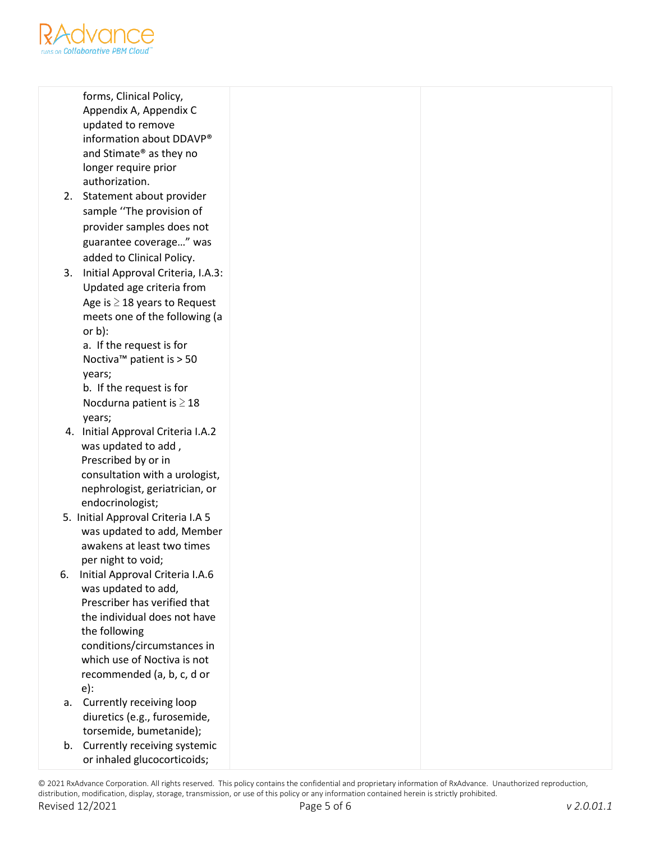

forms, Clinical Policy, Appendix A, Appendix C updated to remove information about DDAVP® and Stimate® as they no longer require prior authorization.

- 2. Statement about provider sample ''The provision of provider samples does not guarantee coverage…" was added to Clinical Policy.
- 3. Initial Approval Criteria, I.A.3: Updated age criteria from Age is  $\geq$  18 years to Request meets one of the following (a or b):

a. If the request is for Noctiva™ patient is > 50 years;

b. If the request is for Nocdurna patient is ≥ 18 years;

- 4. Initial Approval Criteria I.A.2 was updated to add , Prescribed by or in consultation with a urologist, nephrologist, geriatrician, or endocrinologist;
- 5. Initial Approval Criteria I.A 5 was updated to add, Member awakens at least two times per night to void;
- 6. Initial Approval Criteria I.A.6 was updated to add, Prescriber has verified that the individual does not have the following conditions/circumstances in which use of Noctiva is not recommended (a, b, c, d or e):
- a. Currently receiving loop diuretics (e.g., furosemide, torsemide, bumetanide);
- b. Currently receiving systemic or inhaled glucocorticoids;

© 2021 RxAdvance Corporation. All rights reserved. This policy contains the confidential and proprietary information of RxAdvance. Unauthorized reproduction, distribution, modification, display, storage, transmission, or use of this policy or any information contained herein is strictly prohibited.